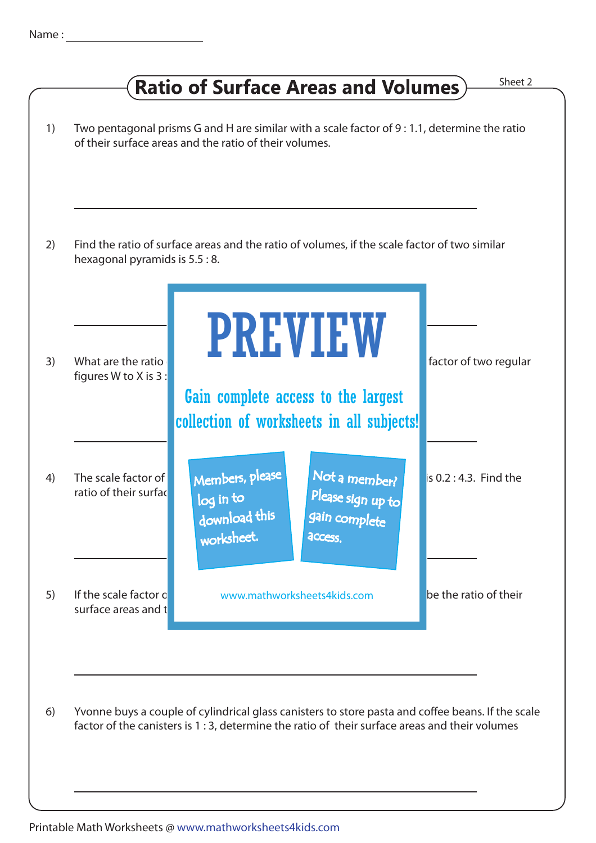